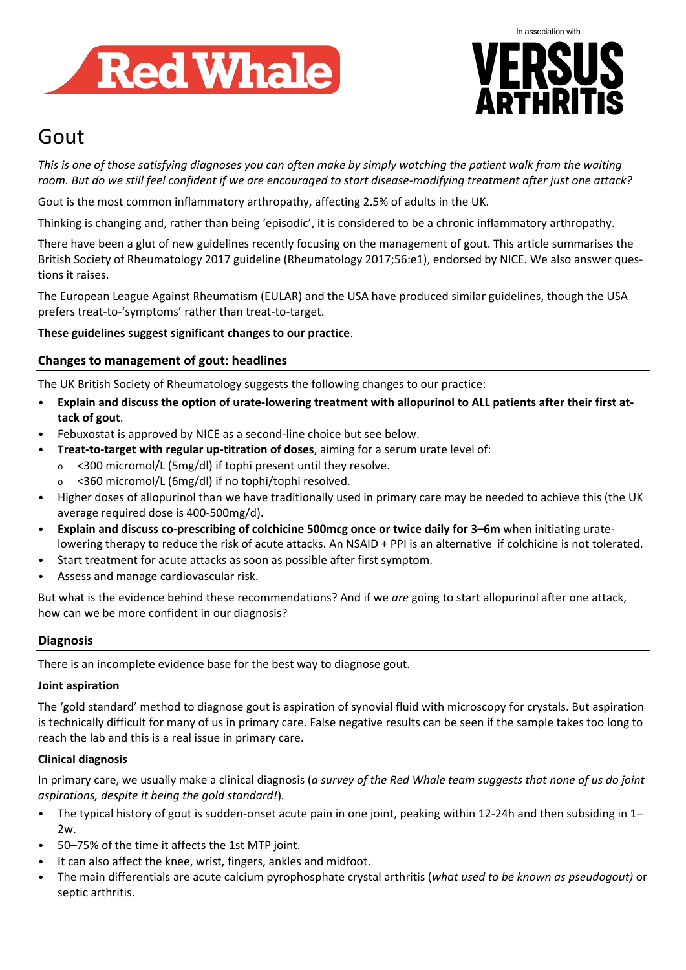



# Gout

*This is one of those satisfying diagnoses you can often make by simply watching the patient walk from the waiting room. But do we still feel confident if we are encouraged to start disease-modifying treatment after just one attack?*

Gout is the most common inflammatory arthropathy, affecting 2.5% of adults in the UK.

Thinking is changing and, rather than being 'episodic', it is considered to be a chronic inflammatory arthropathy.

There have been a glut of new guidelines recently focusing on the management of gout. This article summarises the British Society of Rheumatology 2017 guideline (Rheumatology 2017;56:e1), endorsed by NICE. We also answer questions it raises.

The European League Against Rheumatism (EULAR) and the USA have produced similar guidelines, though the USA prefers treat-to-'symptoms' rather than treat-to-target.

**These guidelines suggest significant changes to our practice**.

# **Changes to management of gout: headlines**

The UK British Society of Rheumatology suggests the following changes to our practice:

- **Explain and discuss the option of urate-lowering treatment with allopurinol to ALL patients after their first attack of gout**.
- Febuxostat is approved by NICE as a second-line choice but see below.
- **Treat-to-target with regular up-titration of doses**, aiming for a serum urate level of:
	- o <300 micromol/L (5mg/dl) if tophi present until they resolve.
	- o <360 micromol/L (6mg/dl) if no tophi/tophi resolved.
- Higher doses of allopurinol than we have traditionally used in primary care may be needed to achieve this (the UK average required dose is 400-500mg/d).
- **Explain and discuss co-prescribing of colchicine 500mcg once or twice daily for 3–6m** when initiating uratelowering therapy to reduce the risk of acute attacks. An NSAID + PPI is an alternative if colchicine is not tolerated.
- Start treatment for acute attacks as soon as possible after first symptom.
- Assess and manage cardiovascular risk.

But what is the evidence behind these recommendations? And if we *are* going to start allopurinol after one attack, how can we be more confident in our diagnosis?

# **Diagnosis**

There is an incomplete evidence base for the best way to diagnose gout.

#### **Joint aspiration**

The 'gold standard' method to diagnose gout is aspiration of synovial fluid with microscopy for crystals. But aspiration is technically difficult for many of us in primary care. False negative results can be seen if the sample takes too long to reach the lab and this is a real issue in primary care.

# **Clinical diagnosis**

In primary care, we usually make a clinical diagnosis (*a survey of the Red Whale team suggests that none of us do joint aspirations, despite it being the gold standard!*)*.*

- The typical history of gout is sudden-onset acute pain in one joint, peaking within 12-24h and then subsiding in 1– 2w.
- 50–75% of the time it affects the 1st MTP joint.
- It can also affect the knee, wrist, fingers, ankles and midfoot.
- The main differentials are acute calcium pyrophosphate crystal arthritis (*what used to be known as pseudogout)* or septic arthritis.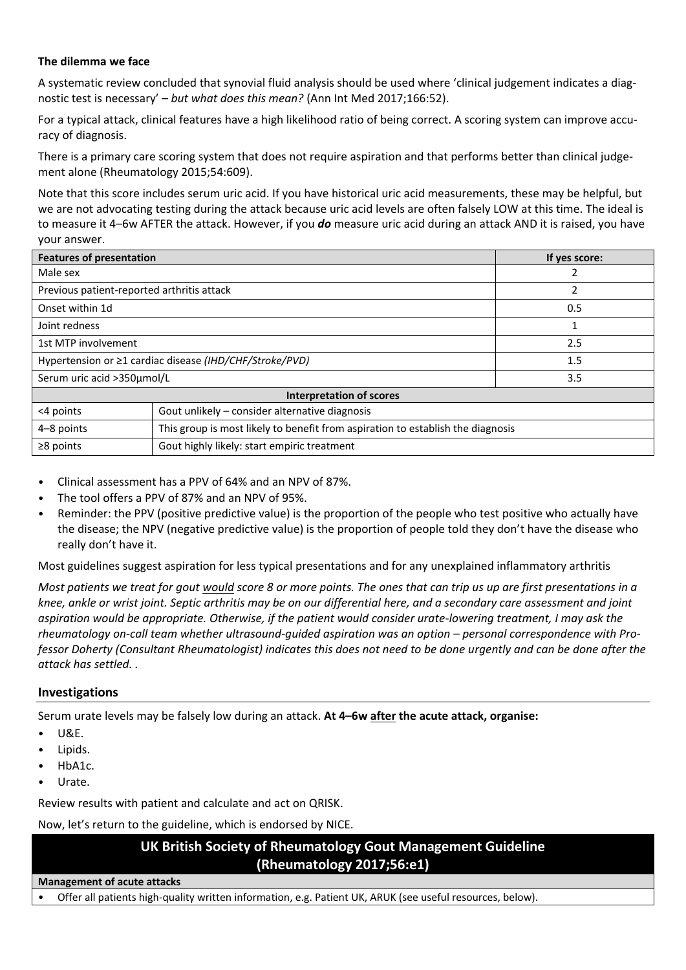## **The dilemma we face**

A systematic review concluded that synovial fluid analysis should be used where 'clinical judgement indicates a diagnostic test is necessary' – *but what does this mean?* (Ann Int Med 2017;166:52).

For a typical attack, clinical features have a high likelihood ratio of being correct. A scoring system can improve accuracy of diagnosis.

There is a primary care scoring system that does not require aspiration and that performs better than clinical judgement alone (Rheumatology 2015;54:609).

Note that this score includes serum uric acid. If you have historical uric acid measurements, these may be helpful, but we are not advocating testing during the attack because uric acid levels are often falsely LOW at this time. The ideal is to measure it 4–6w AFTER the attack. However, if you *do* measure uric acid during an attack AND it is raised, you have your answer.

| <b>Features of presentation</b>                               |                                                                                 | If yes score: |
|---------------------------------------------------------------|---------------------------------------------------------------------------------|---------------|
| Male sex                                                      |                                                                                 |               |
| Previous patient-reported arthritis attack                    |                                                                                 |               |
| Onset within 1d                                               |                                                                                 | 0.5           |
| Joint redness                                                 |                                                                                 |               |
| 1st MTP involvement                                           |                                                                                 | 2.5           |
| Hypertension or $\geq 1$ cardiac disease (IHD/CHF/Stroke/PVD) |                                                                                 | 1.5           |
| Serum uric acid >350µmol/L                                    |                                                                                 | 3.5           |
| <b>Interpretation of scores</b>                               |                                                                                 |               |
| <4 points                                                     | Gout unlikely - consider alternative diagnosis                                  |               |
| 4-8 points                                                    | This group is most likely to benefit from aspiration to establish the diagnosis |               |
| $\geq$ 8 points                                               | Gout highly likely: start empiric treatment                                     |               |

- Clinical assessment has a PPV of 64% and an NPV of 87%.
- The tool offers a PPV of 87% and an NPV of 95%.
- Reminder: the PPV (positive predictive value) is the proportion of the people who test positive who actually have the disease; the NPV (negative predictive value) is the proportion of people told they don't have the disease who really don't have it.

Most guidelines suggest aspiration for less typical presentations and for any unexplained inflammatory arthritis

*Most patients we treat for gout would score 8 or more points. The ones that can trip us up are first presentations in a knee, ankle or wrist joint. Septic arthritis may be on our differential here, and a secondary care assessment and joint aspiration would be appropriate. Otherwise, if the patient would consider urate-lowering treatment, I may ask the rheumatology on-call team whether ultrasound-quided aspiration was an option – personal correspondence with Professor Doherty (Consultant Rheumatologist) indicates this does not need to be done urgently and can be done after the attack has settled. .* 

# **Investigations**

Serum urate levels may be falsely low during an attack. **At 4–6w after the acute attack, organise:**

- U&E.
- Lipids.
- HbA1c.
- Urate.

Review results with patient and calculate and act on QRISK.

Now, let's return to the guideline, which is endorsed by NICE.

# **UK British Society of Rheumatology Gout Management Guideline (Rheumatology 2017;56:e1)**

**Management of acute attacks**

• Offer all patients high-quality written information, e.g. Patient UK, ARUK (see useful resources, below).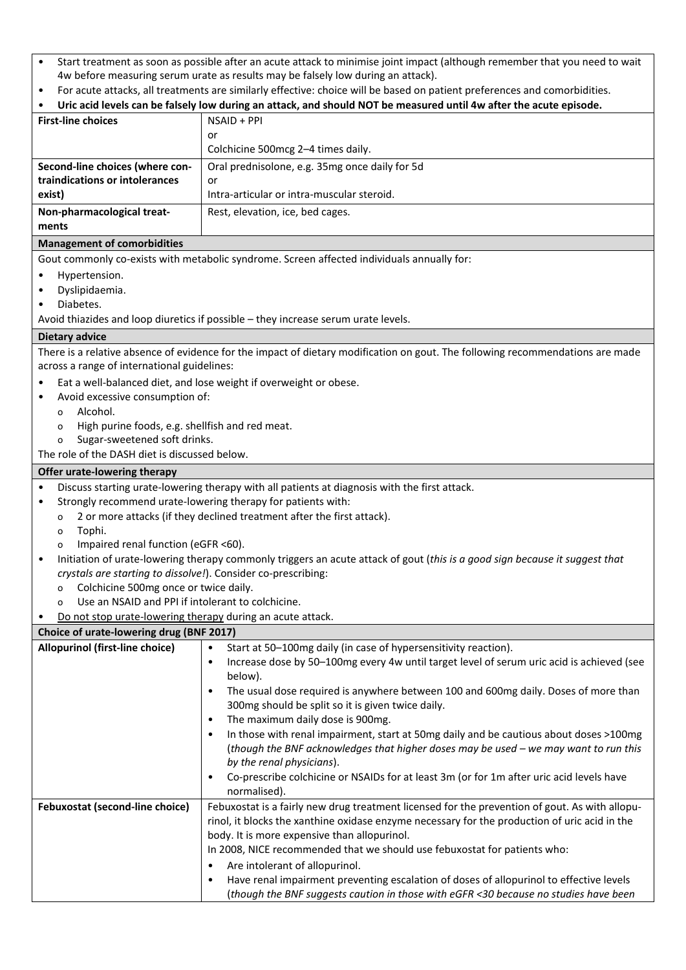- Start treatment as soon as possible after an acute attack to minimise joint impact (although remember that you need to wait 4w before measuring serum urate as results may be falsely low during an attack).
- For acute attacks, all treatments are similarly effective: choice will be based on patient preferences and comorbidities.

|                                                               | T OF acute attacks, an treatments are similarly effective. Choice will be based on patient preferences and comorbidities.<br>Uric acid levels can be falsely low during an attack, and should NOT be measured until 4w after the acute episode. |
|---------------------------------------------------------------|-------------------------------------------------------------------------------------------------------------------------------------------------------------------------------------------------------------------------------------------------|
| <b>First-line choices</b>                                     | NSAID + PPI                                                                                                                                                                                                                                     |
|                                                               | or                                                                                                                                                                                                                                              |
|                                                               | Colchicine 500mcg 2-4 times daily.                                                                                                                                                                                                              |
| Second-line choices (where con-                               | Oral prednisolone, e.g. 35mg once daily for 5d                                                                                                                                                                                                  |
| traindications or intolerances                                | or                                                                                                                                                                                                                                              |
| exist)                                                        | Intra-articular or intra-muscular steroid.                                                                                                                                                                                                      |
| Non-pharmacological treat-                                    | Rest, elevation, ice, bed cages.                                                                                                                                                                                                                |
| ments                                                         |                                                                                                                                                                                                                                                 |
| <b>Management of comorbidities</b>                            |                                                                                                                                                                                                                                                 |
|                                                               | Gout commonly co-exists with metabolic syndrome. Screen affected individuals annually for:                                                                                                                                                      |
| Hypertension.<br>$\bullet$                                    |                                                                                                                                                                                                                                                 |
| Dyslipidaemia.<br>$\bullet$                                   |                                                                                                                                                                                                                                                 |
| Diabetes.<br>٠                                                |                                                                                                                                                                                                                                                 |
|                                                               | Avoid thiazides and loop diuretics if possible - they increase serum urate levels.                                                                                                                                                              |
| <b>Dietary advice</b>                                         |                                                                                                                                                                                                                                                 |
|                                                               | There is a relative absence of evidence for the impact of dietary modification on gout. The following recommendations are made                                                                                                                  |
| across a range of international guidelines:                   |                                                                                                                                                                                                                                                 |
|                                                               | Eat a well-balanced diet, and lose weight if overweight or obese.                                                                                                                                                                               |
| Avoid excessive consumption of:                               |                                                                                                                                                                                                                                                 |
| Alcohol.<br>$\Omega$                                          |                                                                                                                                                                                                                                                 |
| High purine foods, e.g. shellfish and red meat.<br>o          |                                                                                                                                                                                                                                                 |
| Sugar-sweetened soft drinks.<br>$\circ$                       |                                                                                                                                                                                                                                                 |
| The role of the DASH diet is discussed below.                 |                                                                                                                                                                                                                                                 |
| Offer urate-lowering therapy                                  |                                                                                                                                                                                                                                                 |
| ٠                                                             | Discuss starting urate-lowering therapy with all patients at diagnosis with the first attack.                                                                                                                                                   |
| ٠                                                             | Strongly recommend urate-lowering therapy for patients with:                                                                                                                                                                                    |
| $\circ$<br>Tophi.                                             | 2 or more attacks (if they declined treatment after the first attack).                                                                                                                                                                          |
| o<br>Impaired renal function (eGFR <60).<br>$\circ$           |                                                                                                                                                                                                                                                 |
| $\bullet$                                                     | Initiation of urate-lowering therapy commonly triggers an acute attack of gout (this is a good sign because it suggest that                                                                                                                     |
| crystals are starting to dissolve!). Consider co-prescribing: |                                                                                                                                                                                                                                                 |
| Colchicine 500mg once or twice daily.<br>o                    |                                                                                                                                                                                                                                                 |
| Use an NSAID and PPI if intolerant to colchicine.<br>$\circ$  |                                                                                                                                                                                                                                                 |
| Do not stop urate-lowering therapy during an acute attack.    |                                                                                                                                                                                                                                                 |
| Choice of urate-lowering drug (BNF 2017)                      |                                                                                                                                                                                                                                                 |
| Allopurinol (first-line choice)                               | Start at 50-100mg daily (in case of hypersensitivity reaction).<br>$\bullet$                                                                                                                                                                    |
|                                                               | Increase dose by 50-100mg every 4w until target level of serum uric acid is achieved (see<br>$\bullet$                                                                                                                                          |
|                                                               | below).                                                                                                                                                                                                                                         |
|                                                               | The usual dose required is anywhere between 100 and 600mg daily. Doses of more than<br>$\bullet$                                                                                                                                                |
|                                                               | 300mg should be split so it is given twice daily.                                                                                                                                                                                               |
|                                                               | The maximum daily dose is 900mg.<br>$\bullet$                                                                                                                                                                                                   |
|                                                               | In those with renal impairment, start at 50mg daily and be cautious about doses >100mg<br>$\bullet$                                                                                                                                             |
|                                                               | (though the BNF acknowledges that higher doses may be used - we may want to run this                                                                                                                                                            |
|                                                               | by the renal physicians).                                                                                                                                                                                                                       |
|                                                               | Co-prescribe colchicine or NSAIDs for at least 3m (or for 1m after uric acid levels have<br>$\bullet$<br>normalised).                                                                                                                           |
| Febuxostat (second-line choice)                               | Febuxostat is a fairly new drug treatment licensed for the prevention of gout. As with allopu-                                                                                                                                                  |
|                                                               | rinol, it blocks the xanthine oxidase enzyme necessary for the production of uric acid in the                                                                                                                                                   |
|                                                               | body. It is more expensive than allopurinol.                                                                                                                                                                                                    |
|                                                               |                                                                                                                                                                                                                                                 |

In 2008, NICE recommended that we should use febuxostat for patients who:

- Are intolerant of allopurinol.
	- Have renal impairment preventing escalation of doses of allopurinol to effective levels (*though the BNF suggests caution in those with eGFR <30 because no studies have been*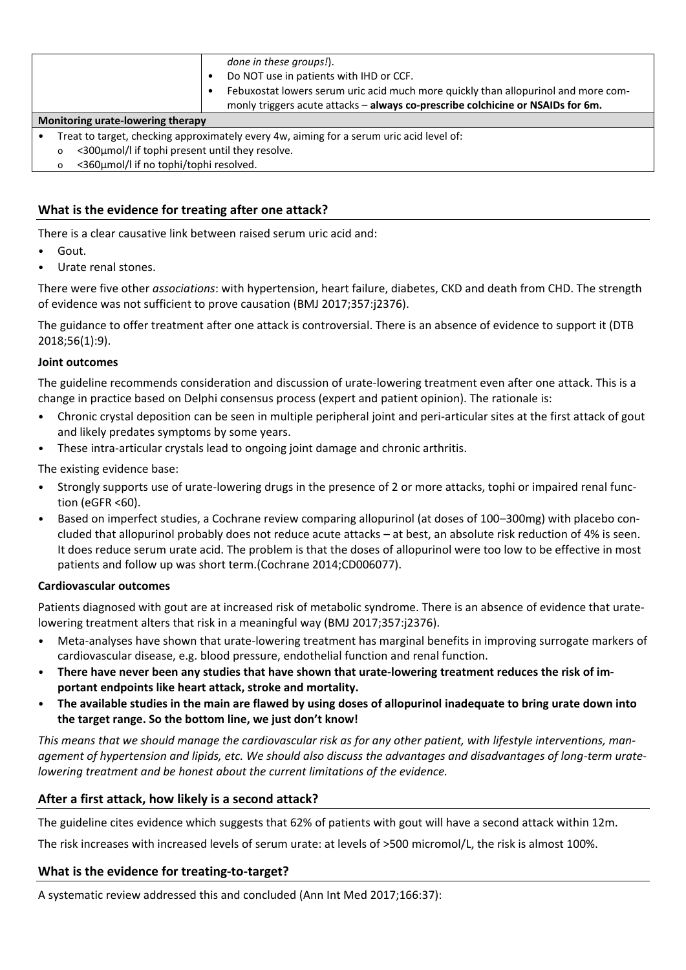|                                                 | done in these groups!).<br>Do NOT use in patients with IHD or CCF.<br>Febuxostat lowers serum uric acid much more quickly than allopurinol and more com-<br>monly triggers acute attacks - always co-prescribe colchicine or NSAIDs for 6m. |
|-------------------------------------------------|---------------------------------------------------------------------------------------------------------------------------------------------------------------------------------------------------------------------------------------------|
| Monitoring urate-lowering therapy               |                                                                                                                                                                                                                                             |
|                                                 | Treat to target, checking approximately every 4w, aiming for a serum uric acid level of:                                                                                                                                                    |
| <300µmol/l if tophi present until they resolve. |                                                                                                                                                                                                                                             |
| <360µmol/l if no tophi/tophi resolved.          |                                                                                                                                                                                                                                             |

# **What is the evidence for treating after one attack?**

There is a clear causative link between raised serum uric acid and:

- Gout.
- Urate renal stones.

There were five other *associations*: with hypertension, heart failure, diabetes, CKD and death from CHD. The strength of evidence was not sufficient to prove causation (BMJ 2017;357:j2376).

The guidance to offer treatment after one attack is controversial. There is an absence of evidence to support it (DTB 2018;56(1):9).

#### **Joint outcomes**

The guideline recommends consideration and discussion of urate-lowering treatment even after one attack. This is a change in practice based on Delphi consensus process (expert and patient opinion). The rationale is:

- Chronic crystal deposition can be seen in multiple peripheral joint and peri-articular sites at the first attack of gout and likely predates symptoms by some years.
- These intra-articular crystals lead to ongoing joint damage and chronic arthritis.

The existing evidence base:

- Strongly supports use of urate-lowering drugs in the presence of 2 or more attacks, tophi or impaired renal function (eGFR <60).
- Based on imperfect studies, a Cochrane review comparing allopurinol (at doses of 100–300mg) with placebo concluded that allopurinol probably does not reduce acute attacks – at best, an absolute risk reduction of 4% is seen. It does reduce serum urate acid. The problem is that the doses of allopurinol were too low to be effective in most patients and follow up was short term.(Cochrane 2014;CD006077).

#### **Cardiovascular outcomes**

Patients diagnosed with gout are at increased risk of metabolic syndrome. There is an absence of evidence that uratelowering treatment alters that risk in a meaningful way (BMJ 2017;357:j2376).

- Meta-analyses have shown that urate-lowering treatment has marginal benefits in improving surrogate markers of cardiovascular disease, e.g. blood pressure, endothelial function and renal function.
- **There have never been any studies that have shown that urate-lowering treatment reduces the risk of important endpoints like heart attack, stroke and mortality.**
- **The available studies in the main are flawed by using doses of allopurinol inadequate to bring urate down into the target range. So the bottom line, we just don't know!**

This means that we should manage the cardiovascular risk as for any other patient, with lifestyle interventions, man*agement of hypertension and lipids, etc. We should also discuss the advantages and disadvantages of long-term uratelowering treatment and be honest about the current limitations of the evidence.*

# **After a first attack, how likely is a second attack?**

The guideline cites evidence which suggests that 62% of patients with gout will have a second attack within 12m.

The risk increases with increased levels of serum urate: at levels of >500 micromol/L, the risk is almost 100%.

#### **What is the evidence for treating-to-target?**

A systematic review addressed this and concluded (Ann Int Med 2017;166:37):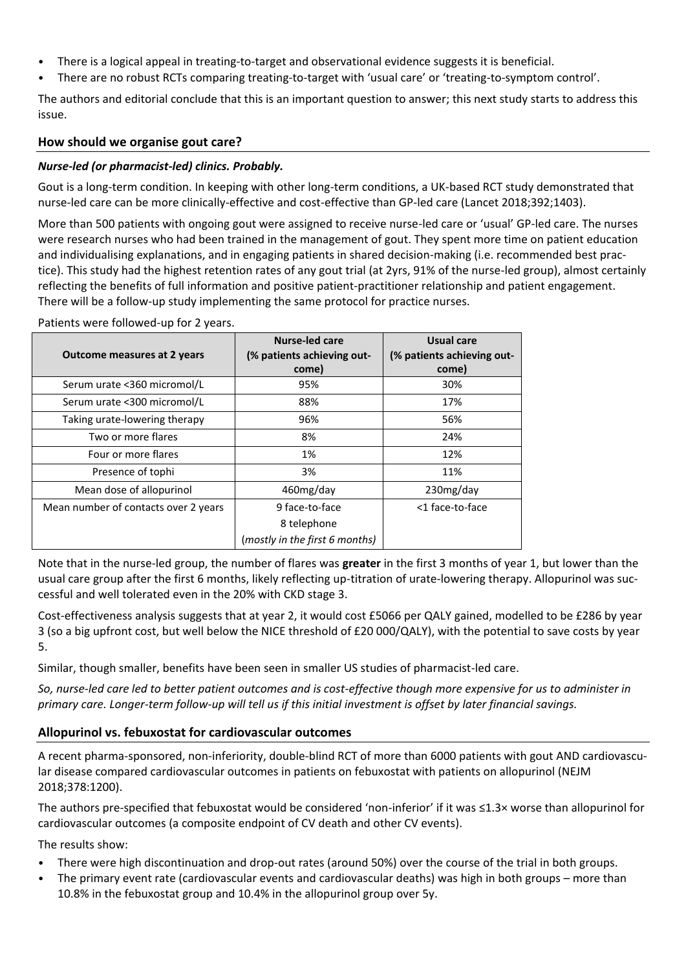- There is a logical appeal in treating-to-target and observational evidence suggests it is beneficial.
- There are no robust RCTs comparing treating-to-target with 'usual care' or 'treating-to-symptom control'.

The authors and editorial conclude that this is an important question to answer; this next study starts to address this issue.

# **How should we organise gout care?**

# *Nurse-led (or pharmacist-led) clinics. Probably.*

Gout is a long-term condition. In keeping with other long-term conditions, a UK-based RCT study demonstrated that nurse-led care can be more clinically-effective and cost-effective than GP-led care (Lancet 2018;392;1403).

More than 500 patients with ongoing gout were assigned to receive nurse-led care or 'usual' GP-led care. The nurses were research nurses who had been trained in the management of gout. They spent more time on patient education and individualising explanations, and in engaging patients in shared decision-making (i.e. recommended best practice). This study had the highest retention rates of any gout trial (at 2yrs, 91% of the nurse-led group), almost certainly reflecting the benefits of full information and positive patient-practitioner relationship and patient engagement. There will be a follow-up study implementing the same protocol for practice nurses.

| Outcome measures at 2 years          | <b>Nurse-led care</b><br>(% patients achieving out-<br>come) | Usual care<br>(% patients achieving out-<br>come) |
|--------------------------------------|--------------------------------------------------------------|---------------------------------------------------|
| Serum urate <360 micromol/L          | 95%                                                          | 30%                                               |
| Serum urate <300 micromol/L          | 88%                                                          | 17%                                               |
| Taking urate-lowering therapy        | 96%                                                          | 56%                                               |
| Two or more flares                   | 8%                                                           | 24%                                               |
| Four or more flares                  | 1%                                                           | 12%                                               |
| Presence of tophi                    | 3%                                                           | 11%                                               |
| Mean dose of allopurinol             | 460mg/day                                                    | 230mg/day                                         |
| Mean number of contacts over 2 years | 9 face-to-face                                               | <1 face-to-face                                   |
|                                      | 8 telephone                                                  |                                                   |
|                                      | (mostly in the first 6 months)                               |                                                   |

Patients were followed-up for 2 years.

Note that in the nurse-led group, the number of flares was **greater** in the first 3 months of year 1, but lower than the usual care group after the first 6 months, likely reflecting up-titration of urate-lowering therapy. Allopurinol was successful and well tolerated even in the 20% with CKD stage 3.

Cost-effectiveness analysis suggests that at year 2, it would cost £5066 per QALY gained, modelled to be £286 by year 3 (so a big upfront cost, but well below the NICE threshold of £20 000/QALY), with the potential to save costs by year 5.

Similar, though smaller, benefits have been seen in smaller US studies of pharmacist-led care.

*So, nurse-led care led to better patient outcomes and is cost-effective though more expensive for us to administer in primary care. Longer-term follow-up will tell us if this initial investment is offset by later financial savings.* 

# **Allopurinol vs. febuxostat for cardiovascular outcomes**

A recent pharma-sponsored, non-inferiority, double-blind RCT of more than 6000 patients with gout AND cardiovascular disease compared cardiovascular outcomes in patients on febuxostat with patients on allopurinol (NEJM 2018;378:1200).

The authors pre-specified that febuxostat would be considered 'non-inferior' if it was ≤1.3× worse than allopurinol for cardiovascular outcomes (a composite endpoint of CV death and other CV events).

The results show:

- There were high discontinuation and drop-out rates (around 50%) over the course of the trial in both groups.
- The primary event rate (cardiovascular events and cardiovascular deaths) was high in both groups more than 10.8% in the febuxostat group and 10.4% in the allopurinol group over 5y.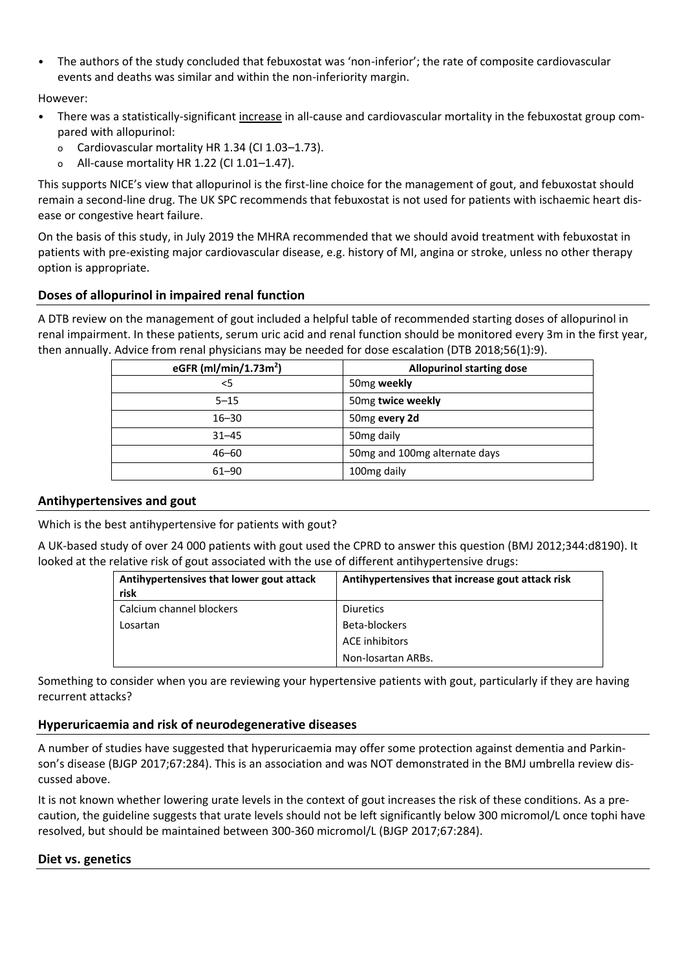• The authors of the study concluded that febuxostat was 'non-inferior'; the rate of composite cardiovascular events and deaths was similar and within the non-inferiority margin.

However:

- There was a statistically-significant increase in all-cause and cardiovascular mortality in the febuxostat group compared with allopurinol:
	- o Cardiovascular mortality HR 1.34 (CI 1.03–1.73).
	- o All-cause mortality HR 1.22 (CI 1.01–1.47).

This supports NICE's view that allopurinol is the first-line choice for the management of gout, and febuxostat should remain a second-line drug. The UK SPC recommends that febuxostat is not used for patients with ischaemic heart disease or congestive heart failure.

On the basis of this study, in July 2019 the MHRA recommended that we should avoid treatment with febuxostat in patients with pre-existing major cardiovascular disease, e.g. history of MI, angina or stroke, unless no other therapy option is appropriate.

## **Doses of allopurinol in impaired renal function**

A DTB review on the management of gout included a helpful table of recommended starting doses of allopurinol in renal impairment. In these patients, serum uric acid and renal function should be monitored every 3m in the first year, then annually. Advice from renal physicians may be needed for dose escalation (DTB 2018;56(1):9).

| eGFR (ml/min/1.73m <sup>2</sup> ) | <b>Allopurinol starting dose</b> |
|-----------------------------------|----------------------------------|
| $<$ 5                             | 50 <sub>mg</sub> weekly          |
| $5 - 15$                          | 50mg twice weekly                |
| $16 - 30$                         | 50mg every 2d                    |
| $31 - 45$                         | 50 <sub>mg</sub> daily           |
| $46 - 60$                         | 50mg and 100mg alternate days    |
| $61 - 90$                         | 100 <sub>mg</sub> daily          |

#### **Antihypertensives and gout**

Which is the best antihypertensive for patients with gout?

A UK-based study of over 24 000 patients with gout used the CPRD to answer this question (BMJ 2012;344:d8190). It looked at the relative risk of gout associated with the use of different antihypertensive drugs:

| Antihypertensives that lower gout attack | Antihypertensives that increase gout attack risk |
|------------------------------------------|--------------------------------------------------|
| risk                                     |                                                  |
| Calcium channel blockers                 | <b>Diuretics</b>                                 |
| Losartan                                 | Beta-blockers                                    |
|                                          | <b>ACE</b> inhibitors                            |
|                                          | Non-losartan ARBs.                               |

Something to consider when you are reviewing your hypertensive patients with gout, particularly if they are having recurrent attacks?

#### **Hyperuricaemia and risk of neurodegenerative diseases**

A number of studies have suggested that hyperuricaemia may offer some protection against dementia and Parkinson's disease (BJGP 2017;67:284). This is an association and was NOT demonstrated in the BMJ umbrella review discussed above.

It is not known whether lowering urate levels in the context of gout increases the risk of these conditions. As a precaution, the guideline suggests that urate levels should not be left significantly below 300 micromol/L once tophi have resolved, but should be maintained between 300-360 micromol/L (BJGP 2017;67:284).

#### **Diet vs. genetics**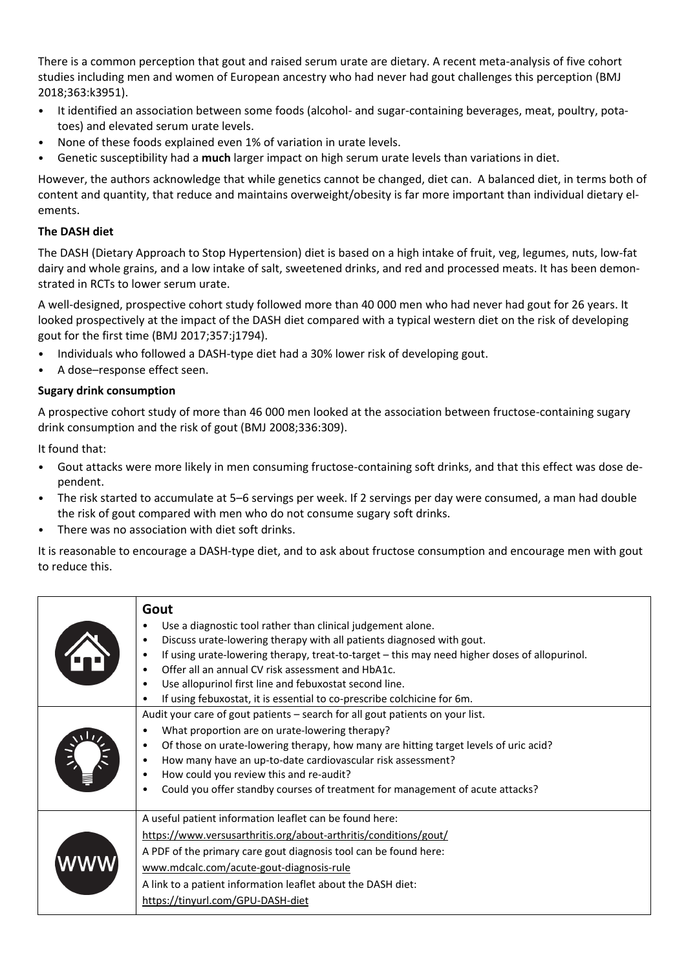There is a common perception that gout and raised serum urate are dietary. A recent meta-analysis of five cohort studies including men and women of European ancestry who had never had gout challenges this perception (BMJ 2018;363:k3951).

- It identified an association between some foods (alcohol- and sugar-containing beverages, meat, poultry, potatoes) and elevated serum urate levels.
- None of these foods explained even 1% of variation in urate levels.
- Genetic susceptibility had a **much** larger impact on high serum urate levels than variations in diet.

However, the authors acknowledge that while genetics cannot be changed, diet can. A balanced diet, in terms both of content and quantity, that reduce and maintains overweight/obesity is far more important than individual dietary elements.

# **The DASH diet**

The DASH (Dietary Approach to Stop Hypertension) diet is based on a high intake of fruit, veg, legumes, nuts, low-fat dairy and whole grains, and a low intake of salt, sweetened drinks, and red and processed meats. It has been demonstrated in RCTs to lower serum urate.

A well-designed, prospective cohort study followed more than 40 000 men who had never had gout for 26 years. It looked prospectively at the impact of the DASH diet compared with a typical western diet on the risk of developing gout for the first time (BMJ 2017;357:j1794).

- Individuals who followed a DASH-type diet had a 30% lower risk of developing gout.
- A dose-response effect seen.

## **Sugary drink consumption**

A prospective cohort study of more than 46 000 men looked at the association between fructose-containing sugary drink consumption and the risk of gout (BMJ 2008;336:309).

It found that:

- Gout attacks were more likely in men consuming fructose-containing soft drinks, and that this effect was dose dependent.
- The risk started to accumulate at 5–6 servings per week. If 2 servings per day were consumed, a man had double the risk of gout compared with men who do not consume sugary soft drinks.
- There was no association with diet soft drinks.

It is reasonable to encourage a DASH-type diet, and to ask about fructose consumption and encourage men with gout to reduce this.

| Gout<br>Use a diagnostic tool rather than clinical judgement alone.<br>Discuss urate-lowering therapy with all patients diagnosed with gout.<br>If using urate-lowering therapy, treat-to-target - this may need higher doses of allopurinol.<br>Offer all an annual CV risk assessment and HbA1c.<br>Use allopurinol first line and febuxostat second line.<br>$\bullet$<br>If using febuxostat, it is essential to co-prescribe colchicine for 6m. |
|------------------------------------------------------------------------------------------------------------------------------------------------------------------------------------------------------------------------------------------------------------------------------------------------------------------------------------------------------------------------------------------------------------------------------------------------------|
| Audit your care of gout patients - search for all gout patients on your list.<br>What proportion are on urate-lowering therapy?<br>Of those on urate-lowering therapy, how many are hitting target levels of uric acid?<br>How many have an up-to-date cardiovascular risk assessment?<br>How could you review this and re-audit?<br>Could you offer standby courses of treatment for management of acute attacks?                                   |
| A useful patient information leaflet can be found here:<br>https://www.versusarthritis.org/about-arthritis/conditions/gout/<br>A PDF of the primary care gout diagnosis tool can be found here:<br>www.mdcalc.com/acute-gout-diagnosis-rule<br>A link to a patient information leaflet about the DASH diet:<br>https://tinyurl.com/GPU-DASH-diet                                                                                                     |